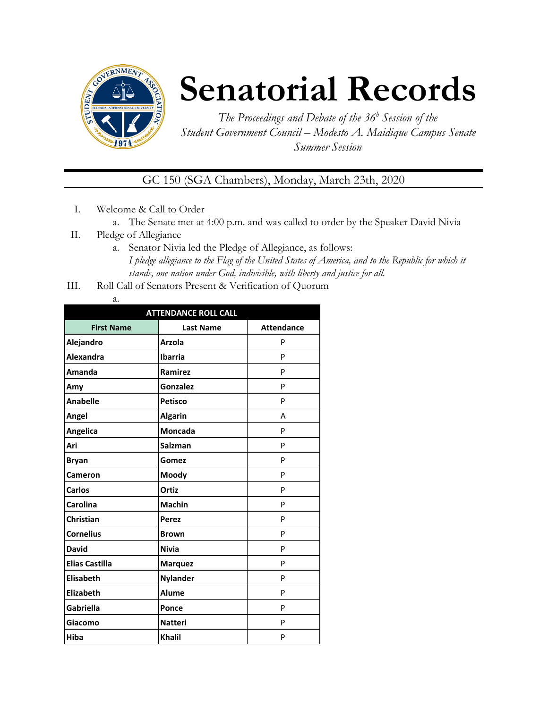

## **Senatorial Records**

*The Proceedings and Debate of the 36 <sup>h</sup> Session of the Student Government Council – Modesto A. Maidique Campus Senate Summer Session*

GC 150 (SGA Chambers), Monday, March 23th, 2020

- I. Welcome & Call to Order
	- a. The Senate met at 4:00 p.m. and was called to order by the Speaker David Nivia
- II. Pledge of Allegiance
	- a. Senator Nivia led the Pledge of Allegiance, as follows: *I pledge allegiance to the Flag of the United States of America, and to the Republic for which it stands, one nation under God, indivisible, with liberty and justice for all.*
- III. Roll Call of Senators Present & Verification of Quorum

| $-$<br>÷ |
|----------|

| <b>ATTENDANCE ROLL CALL</b> |                  |                   |  |
|-----------------------------|------------------|-------------------|--|
| <b>First Name</b>           | <b>Last Name</b> | <b>Attendance</b> |  |
| Alejandro                   | <b>Arzola</b>    | P                 |  |
| <b>Alexandra</b>            | <b>Ibarria</b>   | P                 |  |
| Amanda                      | Ramirez          | P                 |  |
| Amy                         | <b>Gonzalez</b>  | P                 |  |
| <b>Anabelle</b>             | <b>Petisco</b>   | P                 |  |
| Angel                       | <b>Algarin</b>   | А                 |  |
| Angelica                    | <b>Moncada</b>   | P                 |  |
| Ari                         | <b>Salzman</b>   | P                 |  |
| <b>Bryan</b>                | Gomez            | P                 |  |
| Cameron                     | Moody            | P                 |  |
| <b>Carlos</b>               | Ortiz            | P                 |  |
| Carolina                    | <b>Machin</b>    | P                 |  |
| Christian                   | <b>Perez</b>     | P                 |  |
| <b>Cornelius</b>            | <b>Brown</b>     | P                 |  |
| <b>David</b>                | <b>Nivia</b>     | P                 |  |
| <b>Elias Castilla</b>       | <b>Marquez</b>   | P                 |  |
| <b>Elisabeth</b>            | <b>Nylander</b>  | P                 |  |
| Elizabeth                   | <b>Alume</b>     | P                 |  |
| <b>Gabriella</b>            | Ponce            | P                 |  |
| Giacomo                     | <b>Natteri</b>   | P                 |  |
| Hiba                        | <b>Khalil</b>    | P                 |  |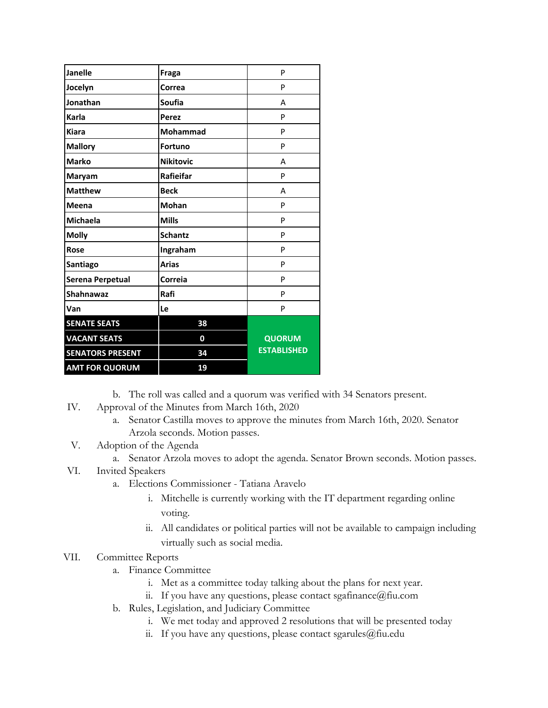| <b>Janelle</b>          | Fraga            | P                  |
|-------------------------|------------------|--------------------|
| Jocelyn                 | Correa           | P                  |
| Jonathan                | <b>Soufia</b>    | A                  |
| Karla                   | Perez            | P                  |
| <b>Kiara</b>            | <b>Mohammad</b>  | P                  |
| <b>Mallory</b>          | <b>Fortuno</b>   | P                  |
| <b>Marko</b>            | <b>Nikitovic</b> | A                  |
| Maryam                  | Rafieifar        | P                  |
| <b>Matthew</b>          | <b>Beck</b>      | А                  |
| Meena                   | <b>Mohan</b>     | P                  |
| <b>Michaela</b>         | <b>Mills</b>     | P                  |
| <b>Molly</b>            | <b>Schantz</b>   | P                  |
| Rose                    | Ingraham         | P                  |
| Santiago                | <b>Arias</b>     | P                  |
| Serena Perpetual        | Correia          | P                  |
| <b>Shahnawaz</b>        | Rafi             | P                  |
| Van                     | Le               | P                  |
| <b>SENATE SEATS</b>     | 38               |                    |
| <b>VACANT SEATS</b>     | 0                | <b>QUORUM</b>      |
| <b>SENATORS PRESENT</b> | 34               | <b>ESTABLISHED</b> |
| <b>AMT FOR QUORUM</b>   | 19               |                    |

b. The roll was called and a quorum was verified with 34 Senators present.

- IV. Approval of the Minutes from March 16th, 2020
	- a. Senator Castilla moves to approve the minutes from March 16th, 2020. Senator Arzola seconds. Motion passes.
- V. Adoption of the Agenda
	- a. Senator Arzola moves to adopt the agenda. Senator Brown seconds. Motion passes.
- VI. Invited Speakers
	- a. Elections Commissioner Tatiana Aravelo
		- i. Mitchelle is currently working with the IT department regarding online voting.
		- ii. All candidates or political parties will not be available to campaign including virtually such as social media.

## VII. Committee Reports

- a. Finance Committee
	- i. Met as a committee today talking about the plans for next year.
	- ii. If you have any questions, please contact sgafinance  $@$  fiu.com
- b. Rules, Legislation, and Judiciary Committee
	- i. We met today and approved 2 resolutions that will be presented today
	- ii. If you have any questions, please contact sgarules@fiu.edu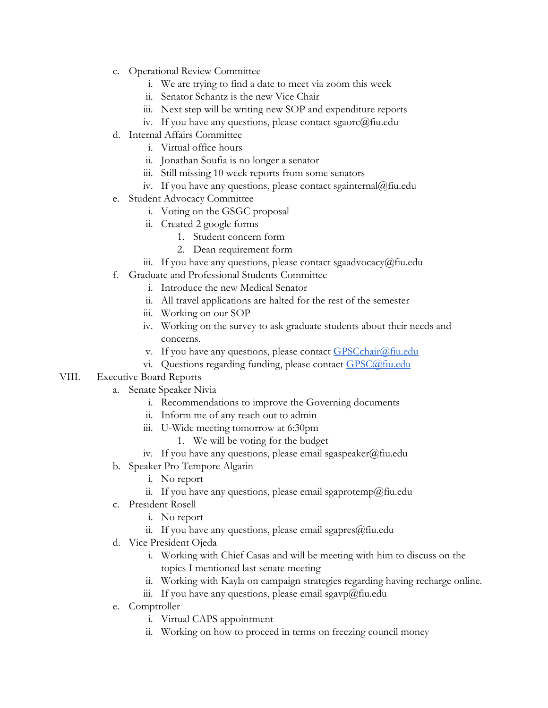- c. Operational Review Committee
	- i. We are trying to find a date to meet via zoom this week
	- ii. Senator Schantz is the new Vice Chair
	- iii. Next step will be writing new SOP and expenditure reports
	- iv. If you have any questions, please contact sgaorc@fiu.edu
- d. Internal Affairs Committee
	- i. Virtual office hours
	- ii. Jonathan Soufia is no longer a senator
	- iii. Still missing 10 week reports from some senators
	- iv. If you have any questions, please contact sgainternal@fiu.edu
- e. Student Advocacy Committee
	- i. Voting on the GSGC proposal
	- ii. Created 2 google forms
		- 1. Student concern form
		- 2. Dean requirement form
	- iii. If you have any questions, please contact sgaadvocacy@fiu.edu
- f. Graduate and Professional Students Committee
	- i. Introduce the new Medical Senator
	- ii. All travel applications are halted for the rest of the semester
	- iii. Working on our SOP
	- iv. Working on the survey to ask graduate students about their needs and concerns.
	- v. If you have any questions, please contact  $GPSCchar(a)$ fiu.edu
	- vi. Questions regarding funding, please contact [GPSC@fiu.edu](mailto:GPC@fiu.edu)

## VIII. Executive Board Reports

- a. Senate Speaker Nivia
	- i. Recommendations to improve the Governing documents
	- ii. Inform me of any reach out to admin
	- iii. U-Wide meeting tomorrow at 6:30pm
		- 1. We will be voting for the budget
	- iv. If you have any questions, please email sgaspeaker@fiu.edu
- b. Speaker Pro Tempore Algarin
	- i. No report
	- ii. If you have any questions, please email sgaprotemp@fiu.edu
- c. President Rosell
	- i. No report
	- ii. If you have any questions, please email sgapres $@$ fiu.edu
- d. Vice President Ojeda
	- i. Working with Chief Casas and will be meeting with him to discuss on the topics I mentioned last senate meeting
	- ii. Working with Kayla on campaign strategies regarding having recharge online.
	- iii. If you have any questions, please email sgavp $\omega$ fiu.edu
- e. Comptroller
	- i. Virtual CAPS appointment
	- ii. Working on how to proceed in terms on freezing council money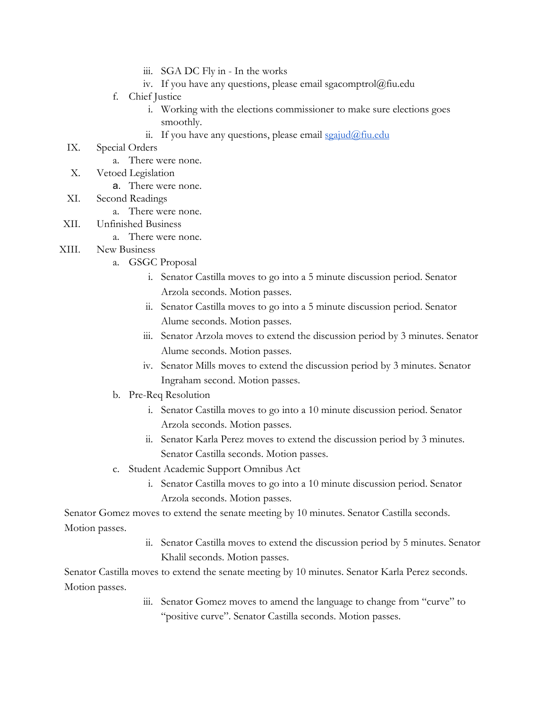- iii. SGA DC Fly in In the works
- iv. If you have any questions, please email sgacomptrol@fiu.edu
- f. Chief Justice
	- i. Working with the elections commissioner to make sure elections goes smoothly.
	- ii. If you have any questions, please email  $\frac{\sigma}{\sigma}$  in  $\frac{\sigma}{\sigma}$
- IX. Special Orders
	- a. There were none.
- X. Vetoed Legislation
	- a. There were none.
- XI. Second Readings
	- a. There were none.
- XII. Unfinished Business
	- a. There were none.
- XIII. New Business
	- a. GSGC Proposal
		- i. Senator Castilla moves to go into a 5 minute discussion period. Senator Arzola seconds. Motion passes.
		- ii. Senator Castilla moves to go into a 5 minute discussion period. Senator Alume seconds. Motion passes.
		- iii. Senator Arzola moves to extend the discussion period by 3 minutes. Senator Alume seconds. Motion passes.
		- iv. Senator Mills moves to extend the discussion period by 3 minutes. Senator Ingraham second. Motion passes.
	- b. Pre-Req Resolution
		- i. Senator Castilla moves to go into a 10 minute discussion period. Senator Arzola seconds. Motion passes.
		- ii. Senator Karla Perez moves to extend the discussion period by 3 minutes. Senator Castilla seconds. Motion passes.
	- c. Student Academic Support Omnibus Act
		- i. Senator Castilla moves to go into a 10 minute discussion period. Senator Arzola seconds. Motion passes.

Senator Gomez moves to extend the senate meeting by 10 minutes. Senator Castilla seconds. Motion passes.

> ii. Senator Castilla moves to extend the discussion period by 5 minutes. Senator Khalil seconds. Motion passes.

Senator Castilla moves to extend the senate meeting by 10 minutes. Senator Karla Perez seconds. Motion passes.

> iii. Senator Gomez moves to amend the language to change from "curve" to "positive curve". Senator Castilla seconds. Motion passes.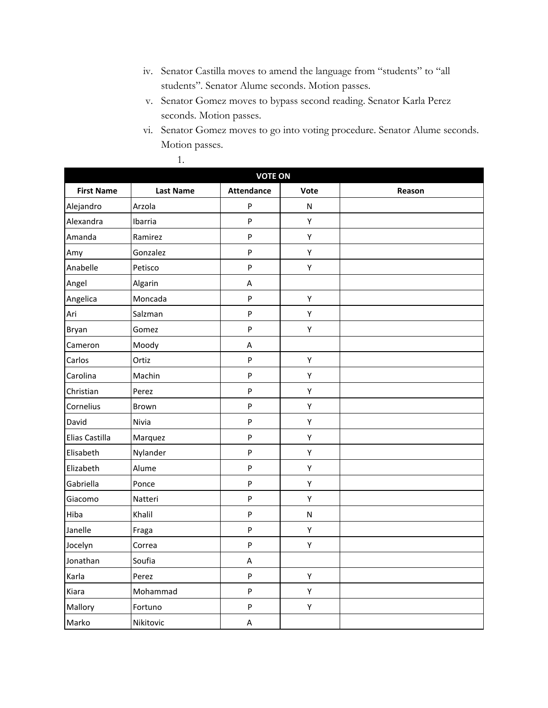- iv. Senator Castilla moves to amend the language from "students" to "all students". Senator Alume seconds. Motion passes.
- v. Senator Gomez moves to bypass second reading. Senator Karla Perez seconds. Motion passes.
- vi. Senator Gomez moves to go into voting procedure. Senator Alume seconds. Motion passes.

| <b>VOTE ON</b>    |                  |                           |             |        |
|-------------------|------------------|---------------------------|-------------|--------|
| <b>First Name</b> | <b>Last Name</b> | <b>Attendance</b>         | Vote        | Reason |
| Alejandro         | Arzola           | $\sf P$                   | ${\sf N}$   |        |
| Alexandra         | Ibarria          | $\mathsf{P}$              | Υ           |        |
| Amanda            | Ramirez          | $\mathsf{P}$              | Υ           |        |
| Amy               | Gonzalez         | $\mathsf{P}$              | Υ           |        |
| Anabelle          | Petisco          | $\sf P$                   | Υ           |        |
| Angel             | Algarin          | $\sf A$                   |             |        |
| Angelica          | Moncada          | $\mathsf{P}$              | Υ           |        |
| Ari               | Salzman          | $\sf P$                   | Υ           |        |
| Bryan             | Gomez            | $\sf P$                   | Υ           |        |
| Cameron           | Moody            | $\sf A$                   |             |        |
| Carlos            | Ortiz            | $\mathsf{P}$              | $\mathsf Y$ |        |
| Carolina          | Machin           | $\mathsf{P}$              | Υ           |        |
| Christian         | Perez            | $\sf P$                   | Υ           |        |
| Cornelius         | Brown            | $\boldsymbol{\mathsf{P}}$ | Υ           |        |
| David             | Nivia            | $\sf P$                   | Υ           |        |
| Elias Castilla    | Marquez          | $\sf P$                   | Υ           |        |
| Elisabeth         | Nylander         | $\sf P$                   | Υ           |        |
| Elizabeth         | Alume            | $\boldsymbol{\mathsf{P}}$ | Υ           |        |
| Gabriella         | Ponce            | $\sf P$                   | Υ           |        |
| Giacomo           | Natteri          | $\mathsf{P}$              | Υ           |        |
| Hiba              | Khalil           | $\mathsf{P}$              | ${\sf N}$   |        |
| Janelle           | Fraga            | $\sf P$                   | Υ           |        |
| Jocelyn           | Correa           | $\boldsymbol{\mathsf{P}}$ | Υ           |        |
| Jonathan          | Soufia           | $\boldsymbol{\mathsf{A}}$ |             |        |
| Karla             | Perez            | $\boldsymbol{\mathsf{P}}$ | Υ           |        |
| Kiara             | Mohammad         | $\boldsymbol{\mathsf{P}}$ | Υ           |        |
| Mallory           | Fortuno          | $\boldsymbol{\mathsf{P}}$ | Υ           |        |
| Marko             | Nikitovic        | A                         |             |        |

1.